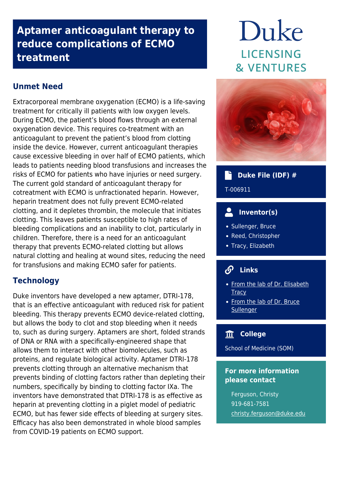## **Aptamer anticoagulant therapy to reduce complications of ECMO treatment**

### **Unmet Need**

Extracorporeal membrane oxygenation (ECMO) is a life-saving treatment for critically ill patients with low oxygen levels. During ECMO, the patient's blood flows through an external oxygenation device. This requires co-treatment with an anticoagulant to prevent the patient's blood from clotting inside the device. However, current anticoagulant therapies cause excessive bleeding in over half of ECMO patients, which leads to patients needing blood transfusions and increases the risks of ECMO for patients who have injuries or need surgery. The current gold standard of anticoagulant therapy for cotreatment with ECMO is unfractionated heparin. However, heparin treatment does not fully prevent ECMO-related clotting, and it depletes thrombin, the molecule that initiates clotting. This leaves patients susceptible to high rates of bleeding complications and an inability to clot, particularly in children. Therefore, there is a need for an anticoagulant therapy that prevents ECMO-related clotting but allows natural clotting and healing at wound sites, reducing the need for transfusions and making ECMO safer for patients.

### **Technology**

Duke inventors have developed a new aptamer, DTRI-178, that is an effective anticoagulant with reduced risk for patient bleeding. This therapy prevents ECMO device-related clotting, but allows the body to clot and stop bleeding when it needs to, such as during surgery. Aptamers are short, folded strands of DNA or RNA with a specifically-engineered shape that allows them to interact with other biomolecules, such as proteins, and regulate biological activity. Aptamer DTRI-178 prevents clotting through an alternative mechanism that prevents binding of clotting factors rather than depleting their numbers, specifically by binding to clotting factor IXa. The inventors have demonstrated that DTRI-178 is as effective as heparin at preventing clotting in a piglet model of pediatric ECMO, but has fewer side effects of bleeding at surgery sites. Efficacy has also been demonstrated in whole blood samples from COVID-19 patients on ECMO support.

# Duke LICENSING **& VENTURES**



### **Duke File (IDF) #**

T-006911

### **Inventor(s)**

- Sullenger, Bruce
- Reed, Christopher
- Tracy, Elizabeth

#### டு  **Links**

- [From the lab of Dr. Elisabeth](https://surgery.duke.edu/faculty/elisabeth-tomlinson-tracy-md) **[Tracy](https://surgery.duke.edu/faculty/elisabeth-tomlinson-tracy-md)**
- [From the lab of Dr. Bruce](https://surgery.duke.edu/faculty/bruce-alan-sullenger-phd) **[Sullenger](https://surgery.duke.edu/faculty/bruce-alan-sullenger-phd)**

### **College**

School of Medicine (SOM)

### **For more information please contact**

Ferguson, Christy 919-681-7581 [christy.ferguson@duke.edu](mailto:christy.ferguson@duke.edu)